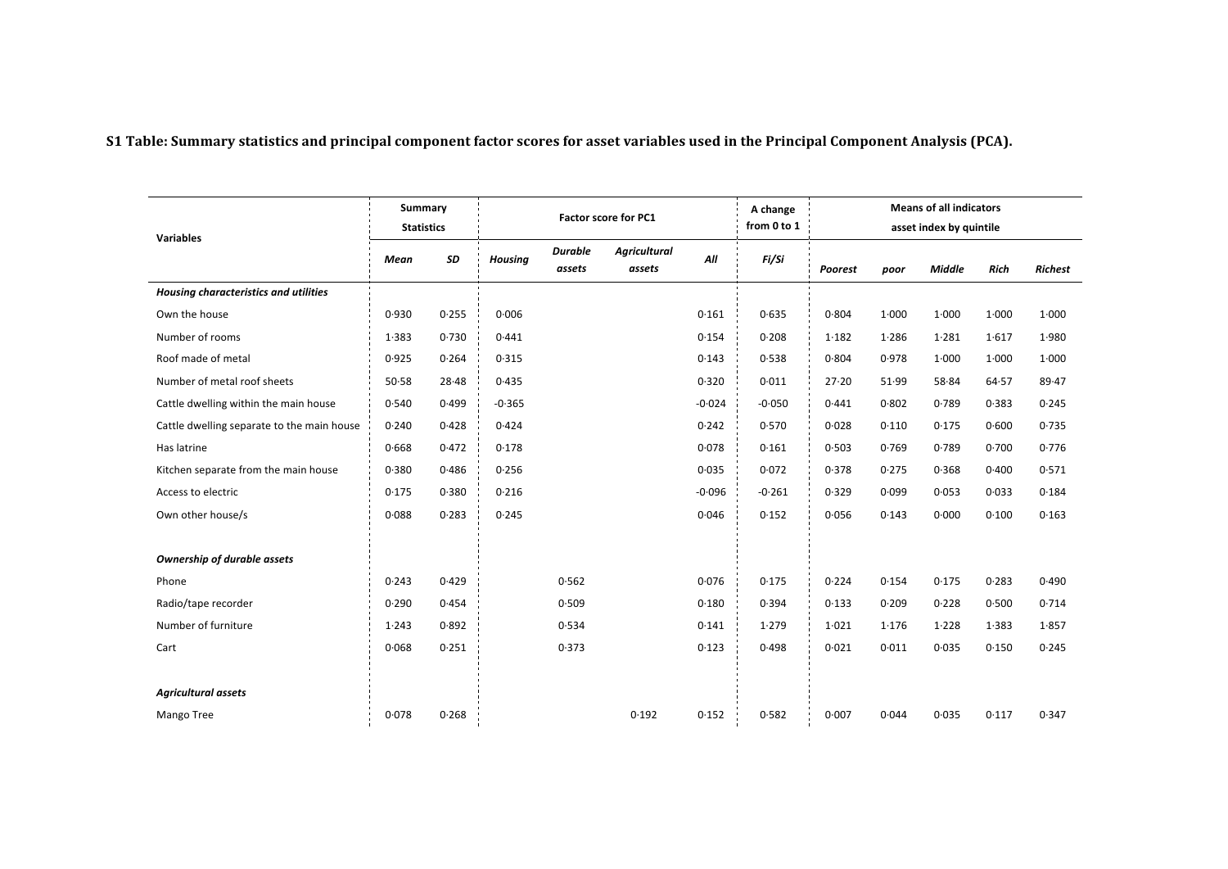S1 Table: Summary statistics and principal component factor scores for asset variables used in the Principal Component Analysis (PCA).

| <b>Variables</b>                           | Summary<br><b>Statistics</b> |       | <b>Factor score for PC1</b> |                          |                               |          | A change<br>from 0 to 1 | <b>Means of all indicators</b><br>asset index by quintile |       |               |       |                |
|--------------------------------------------|------------------------------|-------|-----------------------------|--------------------------|-------------------------------|----------|-------------------------|-----------------------------------------------------------|-------|---------------|-------|----------------|
|                                            | Mean                         | SD    | <b>Housing</b>              | <b>Durable</b><br>assets | <b>Agricultural</b><br>assets | All      | Fi/Si                   | Poorest                                                   | poor  | <b>Middle</b> | Rich  | <b>Richest</b> |
| Housing characteristics and utilities      |                              |       |                             |                          |                               |          |                         |                                                           |       |               |       |                |
| Own the house                              | 0.930                        | 0.255 | 0.006                       |                          |                               | 0.161    | 0.635                   | 0.804                                                     | 1.000 | 1.000         | 1.000 | 1.000          |
| Number of rooms                            | 1.383                        | 0.730 | 0.441                       |                          |                               | 0.154    | 0.208                   | 1.182                                                     | 1.286 | 1.281         | 1.617 | 1.980          |
| Roof made of metal                         | 0.925                        | 0.264 | 0.315                       |                          |                               | 0.143    | 0.538                   | 0.804                                                     | 0.978 | 1.000         | 1.000 | 1.000          |
| Number of metal roof sheets                | 50.58                        | 28.48 | 0.435                       |                          |                               | 0.320    | 0.011                   | 27.20                                                     | 51.99 | 58.84         | 64.57 | 89.47          |
| Cattle dwelling within the main house      | 0.540                        | 0.499 | $-0.365$                    |                          |                               | $-0.024$ | $-0.050$                | 0.441                                                     | 0.802 | 0.789         | 0.383 | 0.245          |
| Cattle dwelling separate to the main house | 0.240                        | 0.428 | 0.424                       |                          |                               | 0.242    | 0.570                   | 0.028                                                     | 0.110 | 0.175         | 0.600 | 0.735          |
| Has latrine                                | 0.668                        | 0.472 | 0.178                       |                          |                               | 0.078    | 0.161                   | 0.503                                                     | 0.769 | 0.789         | 0.700 | 0.776          |
| Kitchen separate from the main house       | 0.380                        | 0.486 | 0.256                       |                          |                               | 0.035    | 0.072                   | 0.378                                                     | 0.275 | 0.368         | 0.400 | 0.571          |
| Access to electric                         | 0.175                        | 0.380 | 0.216                       |                          |                               | $-0.096$ | $-0.261$                | 0.329                                                     | 0.099 | 0.053         | 0.033 | 0.184          |
| Own other house/s                          | 0.088                        | 0.283 | 0.245                       |                          |                               | 0.046    | 0.152                   | 0.056                                                     | 0.143 | 0.000         | 0.100 | 0.163          |
|                                            |                              |       |                             |                          |                               |          |                         |                                                           |       |               |       |                |
| <b>Ownership of durable assets</b>         |                              |       |                             |                          |                               |          |                         |                                                           |       |               |       |                |
| Phone                                      | 0.243                        | 0.429 |                             | 0.562                    |                               | 0.076    | 0.175                   | 0.224                                                     | 0.154 | 0.175         | 0.283 | 0.490          |
| Radio/tape recorder                        | 0.290                        | 0.454 |                             | 0.509                    |                               | 0.180    | 0.394                   | 0.133                                                     | 0.209 | 0.228         | 0.500 | 0.714          |
| Number of furniture                        | 1.243                        | 0.892 |                             | 0.534                    |                               | 0.141    | 1.279                   | 1.021                                                     | 1.176 | 1.228         | 1.383 | 1.857          |
| Cart                                       | 0.068                        | 0.251 |                             | 0.373                    |                               | 0.123    | 0.498                   | 0.021                                                     | 0.011 | 0.035         | 0.150 | 0.245          |
|                                            |                              |       |                             |                          |                               |          |                         |                                                           |       |               |       |                |
| <b>Agricultural assets</b>                 |                              |       |                             |                          |                               |          |                         |                                                           |       |               |       |                |
| Mango Tree                                 | 0.078                        | 0.268 |                             |                          | 0.192                         | 0.152    | 0.582                   | 0.007                                                     | 0.044 | 0.035         | 0.117 | 0.347          |